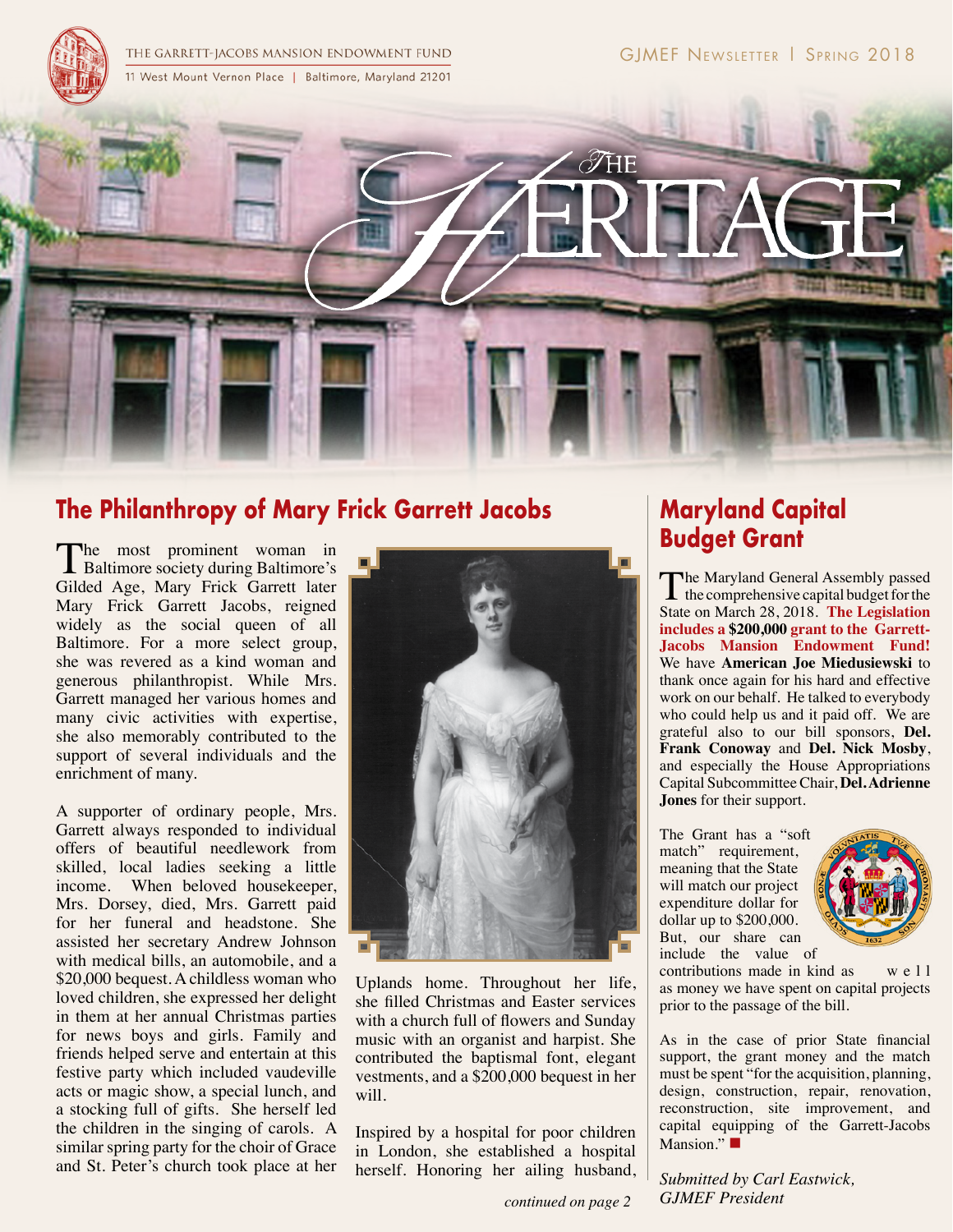THE GARRETT-JACOBS MANSION ENDOWMENT FUND 11 West Mount Vernon Place | Baltimore, Maryland 21201



# **The Philanthropy of Mary Frick Garrett Jacobs**

The most prominent woman in<br>Baltimore society during Baltimore's Gilded Age, Mary Frick Garrett later Mary Frick Garrett Jacobs, reigned widely as the social queen of all Baltimore. For a more select group, she was revered as a kind woman and generous philanthropist. While Mrs. Garrett managed her various homes and many civic activities with expertise, she also memorably contributed to the support of several individuals and the enrichment of many.

A supporter of ordinary people, Mrs. Garrett always responded to individual offers of beautiful needlework from skilled, local ladies seeking a little income. When beloved housekeeper, Mrs. Dorsey, died, Mrs. Garrett paid for her funeral and headstone. She assisted her secretary Andrew Johnson with medical bills, an automobile, and a \$20,000 bequest. A childless woman who loved children, she expressed her delight in them at her annual Christmas parties for news boys and girls. Family and friends helped serve and entertain at this festive party which included vaudeville acts or magic show, a special lunch, and a stocking full of gifts. She herself led the children in the singing of carols. A similar spring party for the choir of Grace and St. Peter's church took place at her



Uplands home. Throughout her life, she filled Christmas and Easter services with a church full of flowers and Sunday music with an organist and harpist. She contributed the baptismal font, elegant vestments, and a \$200,000 bequest in her will.

Inspired by a hospital for poor children in London, she established a hospital herself. Honoring her ailing husband,

#### *continued on page 2*

# **Maryland Capital Budget Grant**

The Maryland General Assembly passed<br>the comprehensive capital budget for the<br>State of the comprehensive capital budget for the State on March 28, 2018. **The Legislation includes a \$200,000 grant to the Garrett-Jacobs Mansion Endowment Fund!** We have **American Joe Miedusiewski** to thank once again for his hard and effective work on our behalf. He talked to everybody who could help us and it paid off. We are grateful also to our bill sponsors, **Del. Frank Conoway** and **Del. Nick Mosby**, and especially the House Appropriations Capital Subcommittee Chair, **Del. Adrienne Jones** for their support.

The Grant has a "soft match" requirement, meaning that the State will match our project expenditure dollar for dollar up to \$200,000. But, our share can include the value of



contributions made in kind as well as money we have spent on capital projects prior to the passage of the bill.

As in the case of prior State financial support, the grant money and the match must be spent "for the acquisition, planning, design, construction, repair, renovation, reconstruction, site improvement, and capital equipping of the Garrett-Jacobs Mansion." $\blacksquare$ 

*Submitted by Carl Eastwick, GJMEF President*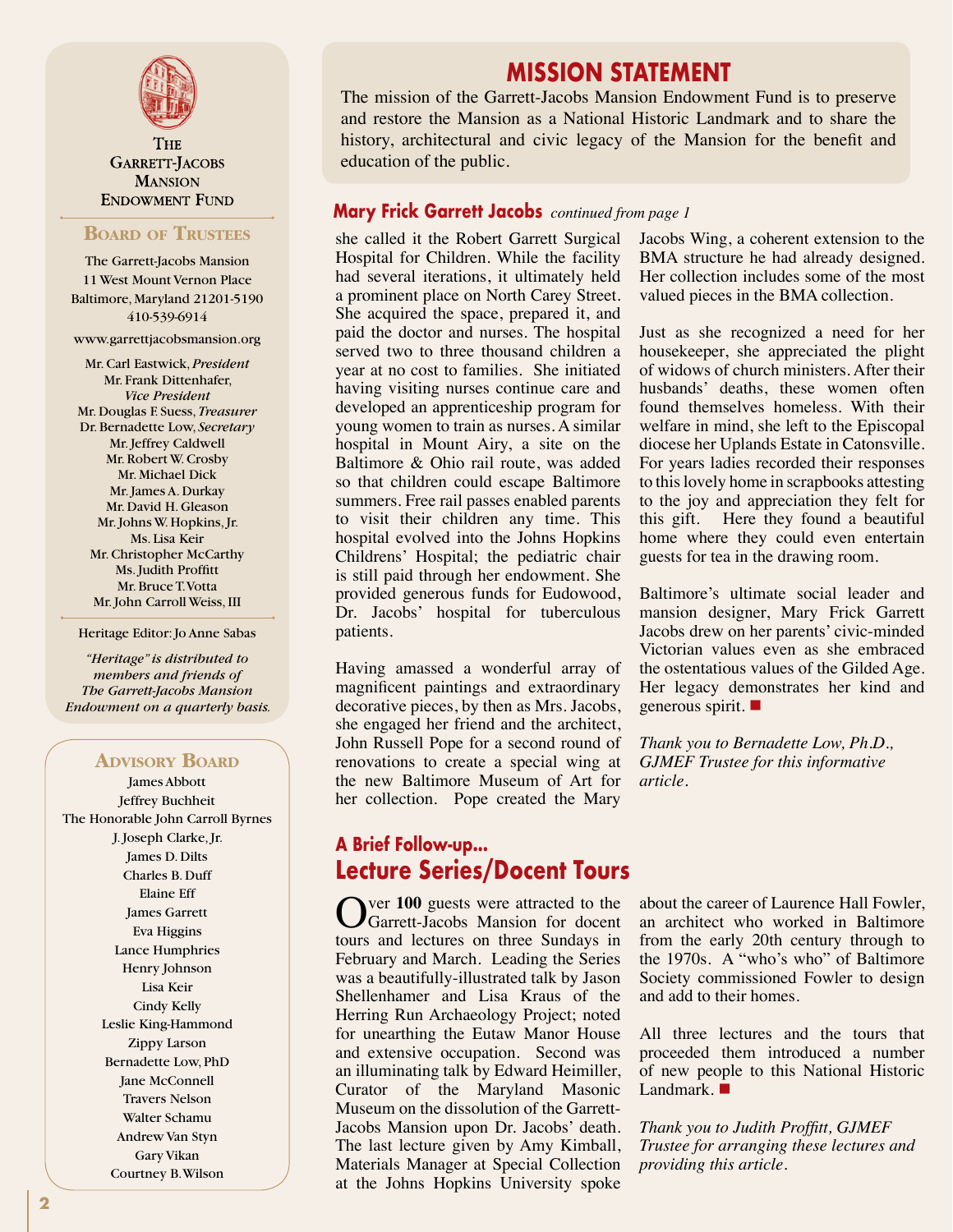

**THE GARRETT-JACOBS MANSION ENDOWMENT FUND** 

#### **Board of Trustees**

The Garrett-Jacobs Mansion 11 West Mount Vernon Place Baltimore, Maryland 21201-5190 410-539-6914

www.garrettjacobsmansion.org

Mr. Carl Eastwick, *President* Mr. Frank Dittenhafer, *Vice President* Mr. Douglas F. Suess, *Treasurer* Dr. Bernadette Low, *Secretary* Mr. Jeffrey Caldwell Mr. Robert W. Crosby Mr. Michael Dick Mr. James A. Durkay Mr. David H. Gleason Mr. Johns W. Hopkins, Jr. Ms. Lisa Keir Mr. Christopher McCarthy Ms. Judith Proffitt Mr. Bruce T. Votta Mr. John Carroll Weiss, III

#### Heritage Editor: Jo Anne Sabas

*"Heritage" is distributed to members and friends of The Garrett-Jacobs Mansion Endowment on a quarterly basis.*

### **Advisory Board**

James Abbott Jeffrey Buchheit The Honorable John Carroll Byrnes J. Joseph Clarke, Jr. James D. Dilts Charles B. Duff Elaine Eff James Garrett Eva Higgins Lance Humphries Henry Johnson Lisa Keir Cindy Kelly Leslie King-Hammond Zippy Larson Bernadette Low, PhD Jane McConnell Travers Nelson Walter Schamu Andrew Van Styn Gary Vikan Courtney B. Wilson

### **MISSION STATEMENT**

The mission of the Garrett-Jacobs Mansion Endowment Fund is to preserve and restore the Mansion as a National Historic Landmark and to share the history, architectural and civic legacy of the Mansion for the benefit and education of the public.

### **Mary Frick Garrett Jacobs** *continued from page 1*

she called it the Robert Garrett Surgical Hospital for Children. While the facility had several iterations, it ultimately held a prominent place on North Carey Street. She acquired the space, prepared it, and paid the doctor and nurses. The hospital served two to three thousand children a year at no cost to families. She initiated having visiting nurses continue care and developed an apprenticeship program for young women to train as nurses. A similar hospital in Mount Airy, a site on the Baltimore & Ohio rail route, was added so that children could escape Baltimore summers. Free rail passes enabled parents to visit their children any time. This hospital evolved into the Johns Hopkins Childrens' Hospital; the pediatric chair is still paid through her endowment. She provided generous funds for Eudowood, Dr. Jacobs' hospital for tuberculous patients.

Having amassed a wonderful array of magnificent paintings and extraordinary decorative pieces, by then as Mrs. Jacobs, she engaged her friend and the architect, John Russell Pope for a second round of renovations to create a special wing at the new Baltimore Museum of Art for her collection. Pope created the Mary

### **A Brief Follow-up... Lecture Series/Docent Tours**

Over 100 guests were attracted to the Garrett-Jacobs Mansion for docent tours and lectures on three Sundays in February and March. Leading the Series was a beautifully-illustrated talk by Jason Shellenhamer and Lisa Kraus of the Herring Run Archaeology Project; noted for unearthing the Eutaw Manor House and extensive occupation. Second was an illuminating talk by Edward Heimiller, Curator of the Maryland Masonic Museum on the dissolution of the Garrett-Jacobs Mansion upon Dr. Jacobs' death. The last lecture given by Amy Kimball, Materials Manager at Special Collection at the Johns Hopkins University spoke

Jacobs Wing, a coherent extension to the BMA structure he had already designed. Her collection includes some of the most valued pieces in the BMA collection.

Just as she recognized a need for her housekeeper, she appreciated the plight of widows of church ministers. After their husbands' deaths, these women often found themselves homeless. With their welfare in mind, she left to the Episcopal diocese her Uplands Estate in Catonsville. For years ladies recorded their responses to this lovely home in scrapbooks attesting to the joy and appreciation they felt for this gift. Here they found a beautiful home where they could even entertain guests for tea in the drawing room.

Baltimore's ultimate social leader and mansion designer, Mary Frick Garrett Jacobs drew on her parents' civic-minded Victorian values even as she embraced the ostentatious values of the Gilded Age. Her legacy demonstrates her kind and generous spirit.  $\blacksquare$ 

*Thank you to Bernadette Low, Ph.D., GJMEF Trustee for this informative article.*

about the career of Laurence Hall Fowler, an architect who worked in Baltimore from the early 20th century through to the 1970s. A "who's who" of Baltimore Society commissioned Fowler to design and add to their homes.

All three lectures and the tours that proceeded them introduced a number of new people to this National Historic Landmark.  $\blacksquare$ 

*Thank you to Judith Proffitt, GJMEF Trustee for arranging these lectures and providing this article.*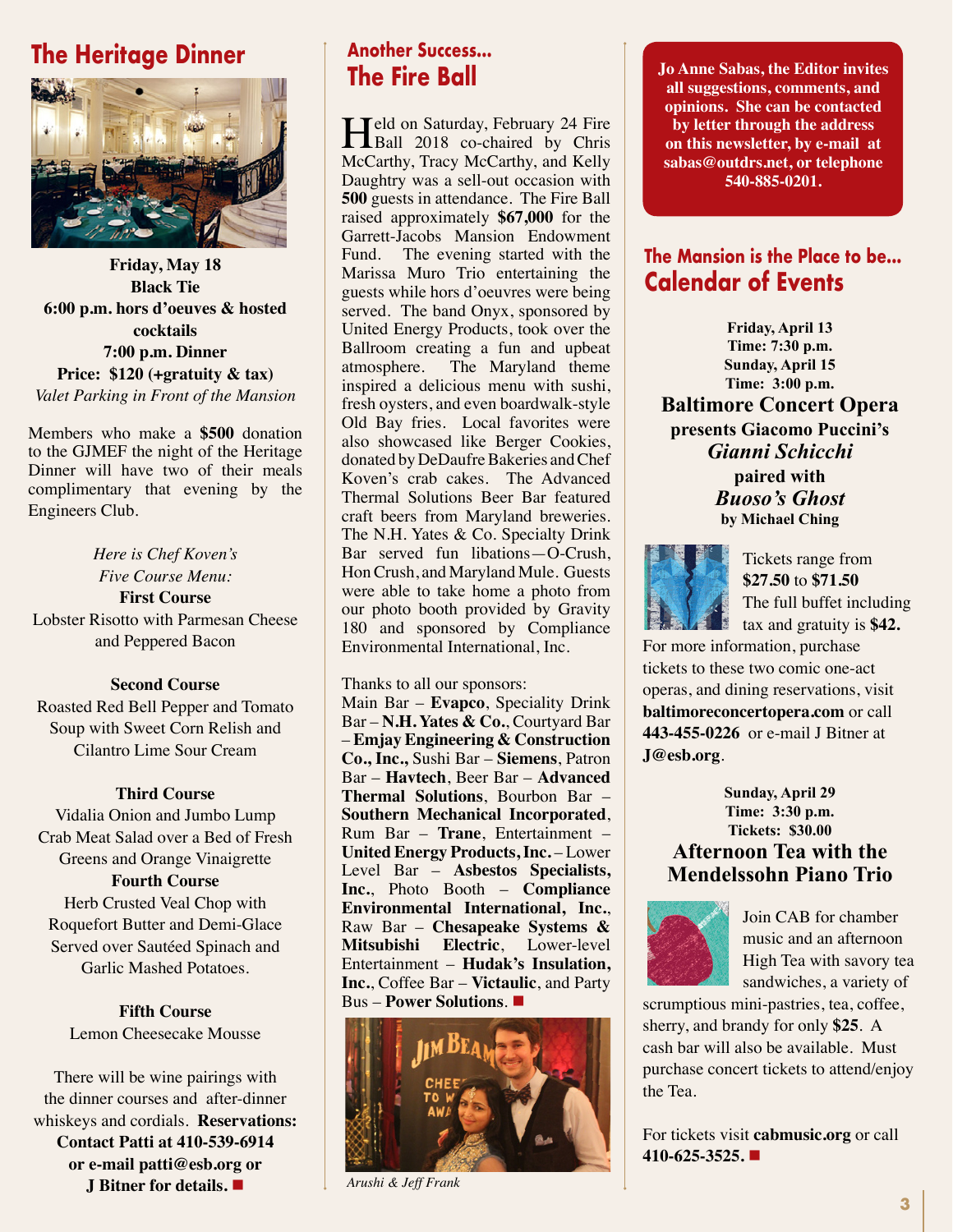## **The Heritage Dinner**



**Friday, May 18 Black Tie 6:00 p.m. hors d'oeuves & hosted cocktails 7:00 p.m. Dinner Price: \$120 (+gratuity & tax)** *Valet Parking in Front of the Mansion*

Members who make a **\$500** donation to the GJMEF the night of the Heritage Dinner will have two of their meals complimentary that evening by the Engineers Club.

*Here is Chef Koven's Five Course Menu:* **First Course** Lobster Risotto with Parmesan Cheese and Peppered Bacon

### **Second Course**

Roasted Red Bell Pepper and Tomato Soup with Sweet Corn Relish and Cilantro Lime Sour Cream

### **Third Course**

Vidalia Onion and Jumbo Lump Crab Meat Salad over a Bed of Fresh Greens and Orange Vinaigrette **Fourth Course**

Herb Crusted Veal Chop with Roquefort Butter and Demi-Glace Served over Sautéed Spinach and Garlic Mashed Potatoes.

**Fifth Course** Lemon Cheesecake Mousse

There will be wine pairings with the dinner courses and after-dinner whiskeys and cordials. **Reservations: Contact Patti at 410-539-6914 or e-mail patti@esb.org or J Bitner for details.** n

# **Another Success...**

Held on Saturday, February 24 Fire<br>
Ball 2018 co-chaired by Chris<br>
M.G. the Tree M.G. the U.K. McCarthy, Tracy McCarthy, and Kelly Daughtry was a sell-out occasion with **500** guests in attendance. The Fire Ball raised approximately **\$67,000** for the Garrett-Jacobs Mansion Endowment Fund. The evening started with the Marissa Muro Trio entertaining the guests while hors d'oeuvres were being served. The band Onyx, sponsored by United Energy Products, took over the Ballroom creating a fun and upbeat atmosphere. The Maryland theme inspired a delicious menu with sushi, fresh oysters, and even boardwalk-style Old Bay fries. Local favorites were also showcased like Berger Cookies, donated by DeDaufre Bakeries and Chef Koven's crab cakes. The Advanced Thermal Solutions Beer Bar featured craft beers from Maryland breweries. The N.H. Yates & Co. Specialty Drink Bar served fun libations—O-Crush, Hon Crush, and Maryland Mule. Guests were able to take home a photo from our photo booth provided by Gravity 180 and sponsored by Compliance Environmental International, Inc.

Thanks to all our sponsors:

Main Bar – **Evapco**, Speciality Drink Bar – **N.H. Yates & Co.**, Courtyard Bar – **Emjay Engineering & Construction Co., Inc.,** Sushi Bar – **Siemens**, Patron Bar – **Havtech**, Beer Bar – **Advanced Thermal Solutions**, Bourbon Bar – **Southern Mechanical Incorporated**, Rum Bar – **Trane**, Entertainment – **United Energy Products, Inc.** – Lower Level Bar – **Asbestos Specialists, Inc.**, Photo Booth – **Compliance Environmental International, Inc.**, Raw Bar – **Chesapeake Systems & Mitsubishi Electric**, Lower-level Entertainment – **Hudak's Insulation, Inc.**, Coffee Bar – **Victaulic**, and Party Bus – **Power Solutions**.



*Arushi & Jeff Frank*

**The Fire Ball Jo Anne Sabas, the Editor invites all suggestions, comments, and opinions. She can be contacted by letter through the address on this newsletter, by e-mail at sabas@outdrs.net, or telephone 540-885-0201.**

### **The Mansion is the Place to be... Calendar of Events**

**Friday, April 13 Time: 7:30 p.m. Sunday, April 15 Time: 3:00 p.m.**

**Baltimore Concert Opera presents Giacomo Puccini's** *Gianni Schicchi*

**paired with** *Buoso's Ghost* **by Michael Ching**



Tickets range from **\$27.50** to **\$71.50** The full buffet including tax and gratuity is **\$42.**

For more information, purchase tickets to these two comic one-act operas, and dining reservations, visit **baltimoreconcertopera.com** or call **443-455-0226** or e-mail J Bitner at **J@esb.org**.

### **Sunday, April 29 Time: 3:30 p.m. Tickets: \$30.00 Afternoon Tea with the Mendelssohn Piano Trio**



Join CAB for chamber music and an afternoon High Tea with savory tea sandwiches, a variety of

scrumptious mini-pastries, tea, coffee, sherry, and brandy for only **\$25**. A cash bar will also be available. Must purchase concert tickets to attend/enjoy the Tea.

For tickets visit **cabmusic.org** or call **410-625-3525.** n